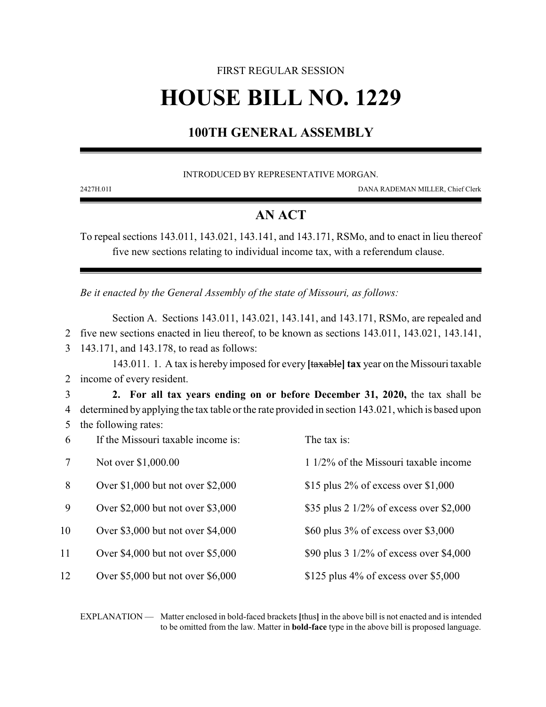# FIRST REGULAR SESSION **HOUSE BILL NO. 1229**

## **100TH GENERAL ASSEMBLY**

INTRODUCED BY REPRESENTATIVE MORGAN.

2427H.01I DANA RADEMAN MILLER, Chief Clerk

#### **AN ACT**

To repeal sections 143.011, 143.021, 143.141, and 143.171, RSMo, and to enact in lieu thereof five new sections relating to individual income tax, with a referendum clause.

*Be it enacted by the General Assembly of the state of Missouri, as follows:*

Section A. Sections 143.011, 143.021, 143.141, and 143.171, RSMo, are repealed and 2 five new sections enacted in lieu thereof, to be known as sections 143.011, 143.021, 143.141, 3 143.171, and 143.178, to read as follows:

143.011. 1. A tax is hereby imposed for every **[**taxable**] tax** year on the Missouri taxable 2 income of every resident.

3 **2. For all tax years ending on or before December 31, 2020,** the tax shall be 4 determined by applying the tax table or the rate provided in section 143.021, which is based upon 5 the following rates:

| 6  | If the Missouri taxable income is:  | The tax is:                                       |
|----|-------------------------------------|---------------------------------------------------|
|    | Not over \$1,000.00                 | $11/2\%$ of the Missouri taxable income           |
| 8  | Over \$1,000 but not over \$2,000   | \$15 plus 2% of excess over $$1,000$              |
| 9  | Over \$2,000 but not over \$3,000   | \$35 plus 2 $1/2\%$ of excess over \$2,000        |
| 10 | Over \$3,000 but not over \$4,000   | \$60 plus $3\%$ of excess over \$3,000            |
| 11 | Over $$4,000$ but not over $$5,000$ | \$90 plus $3\frac{1}{2\%}$ of excess over \$4,000 |
| 12 | Over \$5,000 but not over \$6,000   | \$125 plus $4\%$ of excess over \$5,000           |

EXPLANATION — Matter enclosed in bold-faced brackets **[**thus**]** in the above bill is not enacted and is intended to be omitted from the law. Matter in **bold-face** type in the above bill is proposed language.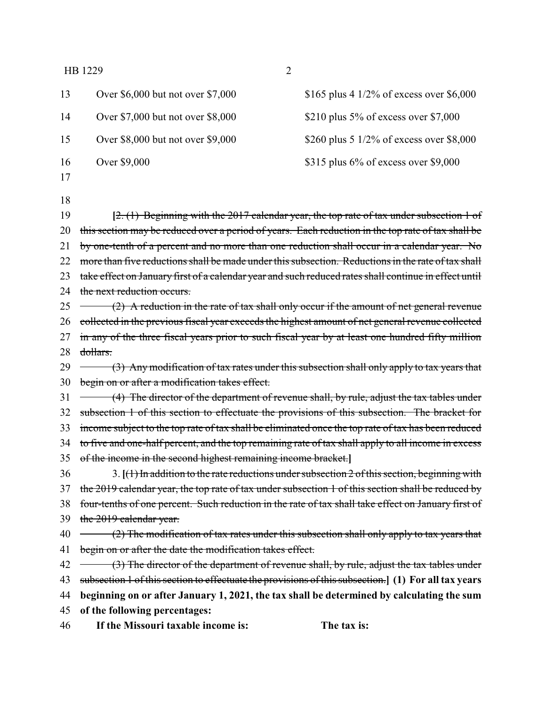| 46       | If the Missouri taxable income is:                                                                                                                                                                         | The tax is:                                                                                          |  |
|----------|------------------------------------------------------------------------------------------------------------------------------------------------------------------------------------------------------------|------------------------------------------------------------------------------------------------------|--|
| 45       | of the following percentages:                                                                                                                                                                              |                                                                                                      |  |
| 44       |                                                                                                                                                                                                            | beginning on or after January 1, 2021, the tax shall be determined by calculating the sum            |  |
| 43       |                                                                                                                                                                                                            | subsection 1 of this section to effectuate the provisions of this subsection.] (1) For all tax years |  |
| 42       |                                                                                                                                                                                                            | (3) The director of the department of revenue shall, by rule, adjust the tax tables under            |  |
| 41       | begin on or after the date the modification takes effect.                                                                                                                                                  |                                                                                                      |  |
| 40       |                                                                                                                                                                                                            | $(2)$ The modification of tax rates under this subsection shall only apply to tax years that         |  |
| 39       | the 2019 calendar year.                                                                                                                                                                                    |                                                                                                      |  |
| 38       | four-tenths of one percent. Such reduction in the rate of tax shall take effect on January first of                                                                                                        |                                                                                                      |  |
| 37       | the 2019 calendar year, the top rate of tax under subsection 1 of this section shall be reduced by                                                                                                         |                                                                                                      |  |
| 36       | 3. $[(1)$ In addition to the rate reductions under subsection 2 of this section, beginning with                                                                                                            |                                                                                                      |  |
| 35       | of the income in the second highest remaining income bracket.]                                                                                                                                             |                                                                                                      |  |
| 34       | income subject to the top rate of tax shall be eliminated once the top rate of tax has been reduced<br>to five and one-half percent, and the top remaining rate of tax shall apply to all income in excess |                                                                                                      |  |
| 33       |                                                                                                                                                                                                            |                                                                                                      |  |
| 32       |                                                                                                                                                                                                            | subsection 1 of this section to effectuate the provisions of this subsection. The bracket for        |  |
| 31       |                                                                                                                                                                                                            | (4) The director of the department of revenue shall, by rule, adjust the tax tables under            |  |
| 30       | begin on or after a modification takes effect.                                                                                                                                                             |                                                                                                      |  |
| 29       |                                                                                                                                                                                                            | $(3)$ Any modification of tax rates under this subsection shall only apply to tax years that         |  |
| 27<br>28 | dollars.                                                                                                                                                                                                   |                                                                                                      |  |
| 26       | collected in the previous fiscal year exceeds the highest amount of net general revenue collected<br>in any of the three fiscal years prior to such fiscal year by at least one hundred fifty million      |                                                                                                      |  |
| 25       | $(2)$ A reduction in the rate of tax shall only occur if the amount of net general revenue                                                                                                                 |                                                                                                      |  |
| 24       | the next reduction occurs.                                                                                                                                                                                 |                                                                                                      |  |
| 23       | take effect on January first of a calendar year and such reduced rates shall continue in effect until                                                                                                      |                                                                                                      |  |
| 22       | more than five reductions shall be made under this subsection. Reductions in the rate of tax shall                                                                                                         |                                                                                                      |  |
| 21       | by one-tenth of a percent and no more than one reduction shall occur in a calendar year. No                                                                                                                |                                                                                                      |  |
| 20       |                                                                                                                                                                                                            | this section may be reduced over a period of years. Each reduction in the top rate of tax shall be   |  |
| 19       |                                                                                                                                                                                                            | $[2, (1)$ Beginning with the 2017 calendar year, the top rate of tax under subsection 1 of           |  |
| 18       |                                                                                                                                                                                                            |                                                                                                      |  |
| 16<br>17 | Over \$9,000                                                                                                                                                                                               | \$315 plus $6\%$ of excess over \$9,000                                                              |  |
| 15       | Over \$8,000 but not over \$9,000                                                                                                                                                                          | \$260 plus 5 $1/2\%$ of excess over \$8,000                                                          |  |
| 14       | Over \$7,000 but not over \$8,000                                                                                                                                                                          | \$210 plus 5% of excess over \$7,000                                                                 |  |
| 13       | Over \$6,000 but not over \$7,000                                                                                                                                                                          | \$165 plus 4 1/2% of excess over \$6,000                                                             |  |
|          |                                                                                                                                                                                                            |                                                                                                      |  |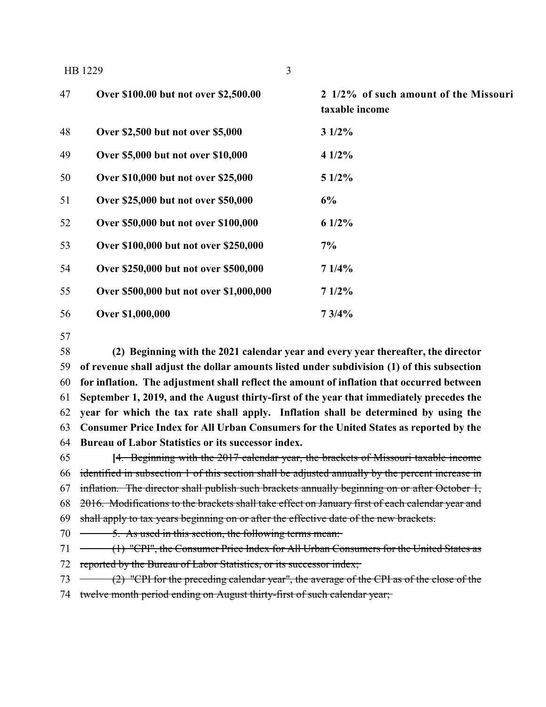|    | 3<br>HB 1229                            |                                                         |
|----|-----------------------------------------|---------------------------------------------------------|
| 47 | Over \$100.00 but not over \$2,500.00   | 2 1/2% of such amount of the Missouri<br>taxable income |
| 48 | Over \$2,500 but not over \$5,000       | 31/2%                                                   |
| 49 | Over \$5,000 but not over \$10,000      | 41/2%                                                   |
| 50 | Over \$10,000 but not over \$25,000     | $51/2\%$                                                |
| 51 | Over \$25,000 but not over \$50,000     | 6%                                                      |
| 52 | Over \$50,000 but not over \$100,000    | $61/2\%$                                                |
| 53 | Over \$100,000 but not over \$250,000   | 7%                                                      |
| 54 | Over \$250,000 but not over \$500,000   | 71/4%                                                   |
| 55 | Over \$500,000 but not over \$1,000,000 | 71/2%                                                   |
| 56 | Over \$1,000,000                        | 73/4%                                                   |

 **(2) Beginning with the 2021 calendar year and every year thereafter, the director of revenue shall adjust the dollar amounts listed under subdivision (1) of this subsection for inflation. The adjustment shall reflect the amount of inflation that occurred between September 1, 2019, and the August thirty-first of the year that immediately precedes the year for which the tax rate shall apply. Inflation shall be determined by using the Consumer Price Index for All Urban Consumers for the United States as reported by the Bureau of Labor Statistics or its successor index.**

 **[**4. Beginning with the 2017 calendar year, the brackets of Missouri taxable income identified in subsection 1 of this section shall be adjusted annually by the percent increase in inflation. The director shall publish such brackets annually beginning on or after October 1, 2016. Modifications to the brackets shall take effect on January first of each calendar year and 69 shall apply to tax years beginning on or after the effective date of the new brackets. 70 <del>5. As used in this section, the following terms mean:</del>

71 (1) "CPI", the Consumer Price Index for All Urban Consumers for the United States as 72 reported by the Bureau of Labor Statistics, or its successor index;

(2) "CPI for the preceding calendar year", the average of the CPI as of the close of the

74 twelve month period ending on August thirty-first of such calendar year;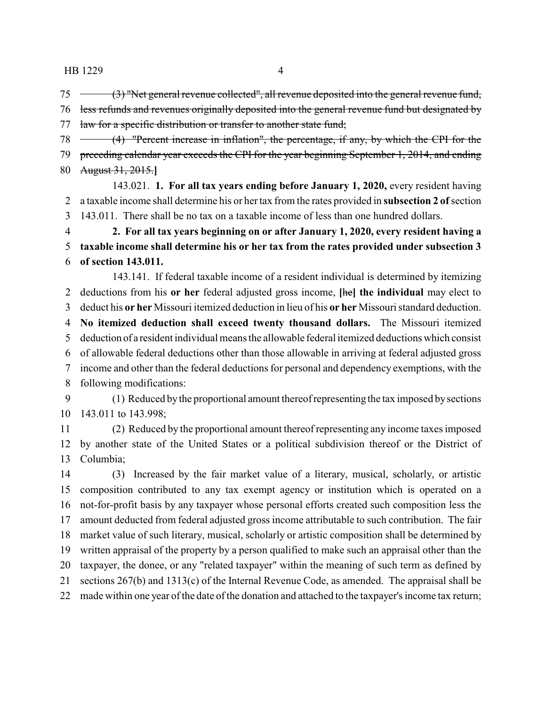(3) "Net general revenue collected", all revenue deposited into the general revenue fund,

 less refunds and revenues originally deposited into the general revenue fund but designated by 77 law for a specific distribution or transfer to another state fund;

 (4) "Percent increase in inflation", the percentage, if any, by which the CPI for the preceding calendar year exceeds the CPI for the year beginning September 1, 2014, and ending August 31, 2015.**]**

143.021. **1. For all tax years ending before January 1, 2020,** every resident having a taxable income shall determine his or her tax from the rates provided in **subsection 2 of**section 143.011. There shall be no tax on a taxable income of less than one hundred dollars.

 **2. For all tax years beginning on or after January 1, 2020, every resident having a taxable income shall determine his or her tax from the rates provided under subsection 3 of section 143.011.**

143.141. If federal taxable income of a resident individual is determined by itemizing deductions from his **or her** federal adjusted gross income, **[**he**] the individual** may elect to deduct his **or her** Missouri itemized deduction in lieu of his **or her** Missouri standard deduction. **No itemized deduction shall exceed twenty thousand dollars.** The Missouri itemized deduction of a resident individual means the allowable federal itemized deductions which consist of allowable federal deductions other than those allowable in arriving at federal adjusted gross income and other than the federal deductions for personal and dependency exemptions, with the following modifications:

 (1) Reduced bythe proportional amount thereof representing the tax imposed bysections 143.011 to 143.998;

 (2) Reduced by the proportional amount thereof representing any income taxes imposed by another state of the United States or a political subdivision thereof or the District of Columbia;

 (3) Increased by the fair market value of a literary, musical, scholarly, or artistic composition contributed to any tax exempt agency or institution which is operated on a not-for-profit basis by any taxpayer whose personal efforts created such composition less the amount deducted from federal adjusted gross income attributable to such contribution. The fair market value of such literary, musical, scholarly or artistic composition shall be determined by written appraisal of the property by a person qualified to make such an appraisal other than the taxpayer, the donee, or any "related taxpayer" within the meaning of such term as defined by sections 267(b) and 1313(c) of the Internal Revenue Code, as amended. The appraisal shall be made within one year of the date of the donation and attached to the taxpayer's income tax return;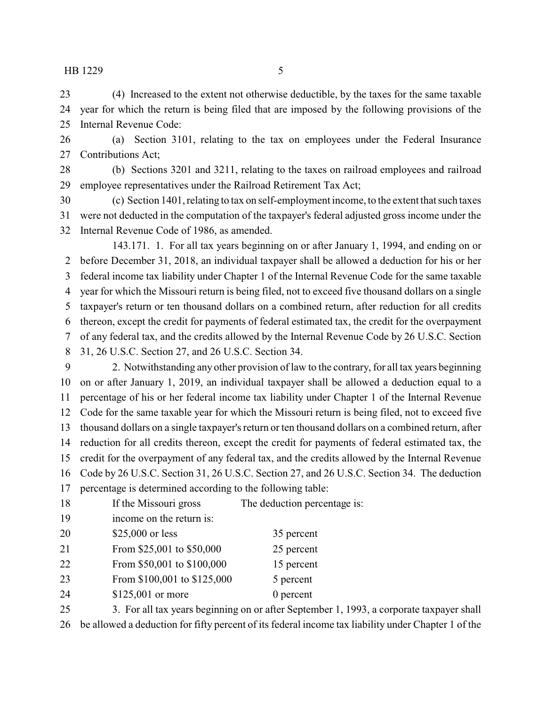(4) Increased to the extent not otherwise deductible, by the taxes for the same taxable year for which the return is being filed that are imposed by the following provisions of the Internal Revenue Code:

 (a) Section 3101, relating to the tax on employees under the Federal Insurance Contributions Act;

 (b) Sections 3201 and 3211, relating to the taxes on railroad employees and railroad employee representatives under the Railroad Retirement Tax Act;

 (c) Section 1401, relating to tax on self-employment income, to the extent that such taxes were not deducted in the computation of the taxpayer's federal adjusted gross income under the Internal Revenue Code of 1986, as amended.

143.171. 1. For all tax years beginning on or after January 1, 1994, and ending on or before December 31, 2018, an individual taxpayer shall be allowed a deduction for his or her federal income tax liability under Chapter 1 of the Internal Revenue Code for the same taxable year for which the Missouri return is being filed, not to exceed five thousand dollars on a single taxpayer's return or ten thousand dollars on a combined return, after reduction for all credits thereon, except the credit for payments of federal estimated tax, the credit for the overpayment of any federal tax, and the credits allowed by the Internal Revenue Code by 26 U.S.C. Section 31, 26 U.S.C. Section 27, and 26 U.S.C. Section 34.

 2. Notwithstanding any other provision of law to the contrary, for all tax years beginning on or after January 1, 2019, an individual taxpayer shall be allowed a deduction equal to a percentage of his or her federal income tax liability under Chapter 1 of the Internal Revenue Code for the same taxable year for which the Missouri return is being filed, not to exceed five thousand dollars on a single taxpayer's return or ten thousand dollars on a combined return, after reduction for all credits thereon, except the credit for payments of federal estimated tax, the credit for the overpayment of any federal tax, and the credits allowed by the Internal Revenue Code by 26 U.S.C. Section 31, 26 U.S.C. Section 27, and 26 U.S.C. Section 34. The deduction percentage is determined according to the following table:

| 18 | If the Missouri gross       | The deduction percentage is: |
|----|-----------------------------|------------------------------|
| 19 | income on the return is:    |                              |
| 20 | \$25,000 or less            | 35 percent                   |
| 21 | From \$25,001 to \$50,000   | 25 percent                   |
| 22 | From \$50,001 to \$100,000  | 15 percent                   |
| 23 | From \$100,001 to \$125,000 | 5 percent                    |
| 24 | \$125,001 or more           | $0$ percent                  |
|    |                             |                              |

 3. For all tax years beginning on or after September 1, 1993, a corporate taxpayer shall be allowed a deduction for fifty percent of its federal income tax liability under Chapter 1 of the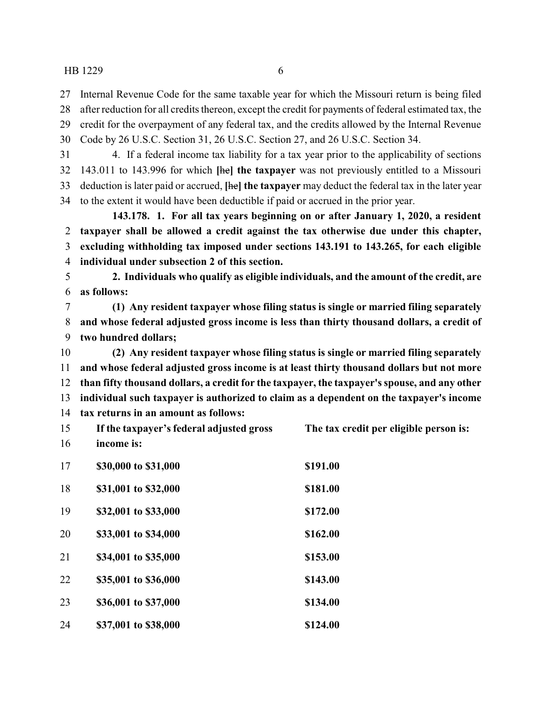Internal Revenue Code for the same taxable year for which the Missouri return is being filed

after reduction for all credits thereon, except the credit for payments of federal estimated tax, the

credit for the overpayment of any federal tax, and the credits allowed by the Internal Revenue

Code by 26 U.S.C. Section 31, 26 U.S.C. Section 27, and 26 U.S.C. Section 34.

 4. If a federal income tax liability for a tax year prior to the applicability of sections 143.011 to 143.996 for which **[**he**] the taxpayer** was not previously entitled to a Missouri deduction is later paid or accrued, **[**he**] the taxpayer** may deduct the federal tax in the later year to the extent it would have been deductible if paid or accrued in the prior year.

**143.178. 1. For all tax years beginning on or after January 1, 2020, a resident taxpayer shall be allowed a credit against the tax otherwise due under this chapter, excluding withholding tax imposed under sections 143.191 to 143.265, for each eligible individual under subsection 2 of this section.**

 **2. Individuals who qualify as eligible individuals, and the amount of the credit, are as follows:**

 **(1) Any resident taxpayer whose filing status is single or married filing separately and whose federal adjusted gross income is less than thirty thousand dollars, a credit of two hundred dollars;**

 **(2) Any resident taxpayer whose filing status is single or married filing separately and whose federal adjusted gross income is at least thirty thousand dollars but not more than fifty thousand dollars, a credit for the taxpayer, the taxpayer's spouse, and any other individual such taxpayer is authorized to claim as a dependent on the taxpayer's income tax returns in an amount as follows:**

| 15             | If the taxpayer's federal adjusted gross | The tax credit per eligible person is: |
|----------------|------------------------------------------|----------------------------------------|
| 16             | income is:                               |                                        |
| 17             | \$30,000 to \$31,000                     | \$191.00                               |
| 18             | \$31,001 to \$32,000                     | \$181.00                               |
| 1 <sub>0</sub> | <u>ድኃጎ በበ1 46 ድኃኃ በበበ</u>                | <u>ድ17ን ሰሰ</u>                         |

| $\mathbf{y}$ | 334,001 to 333,000   | 51/4.00  |
|--------------|----------------------|----------|
| 20           | \$33,001 to \$34,000 | \$162.00 |
| 21           | \$34,001 to \$35,000 | \$153.00 |
| 22           | \$35,001 to \$36,000 | \$143.00 |
| 23           | \$36,001 to \$37,000 | \$134.00 |
|              |                      |          |

**\$37,001 to \$38,000 \$124.00**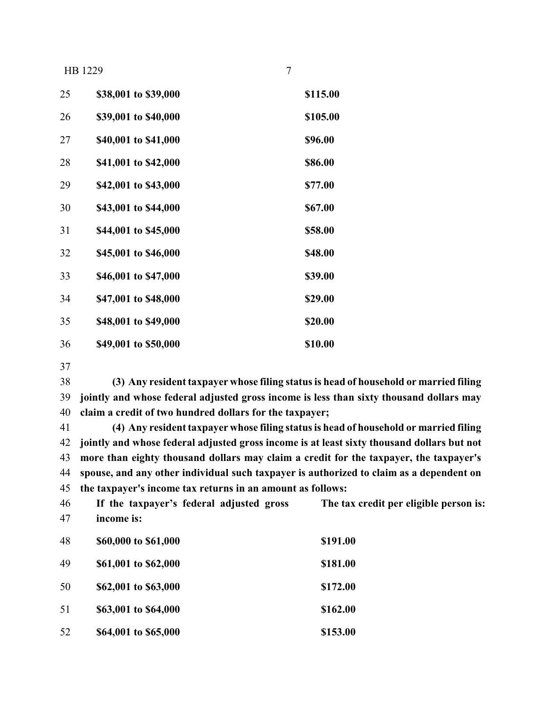| 25 | \$38,001 to \$39,000 | \$115.00 |
|----|----------------------|----------|
| 26 | \$39,001 to \$40,000 | \$105.00 |
| 27 | \$40,001 to \$41,000 | \$96.00  |
| 28 | \$41,001 to \$42,000 | \$86.00  |
| 29 | \$42,001 to \$43,000 | \$77.00  |
| 30 | \$43,001 to \$44,000 | \$67.00  |
| 31 | \$44,001 to \$45,000 | \$58.00  |
| 32 | \$45,001 to \$46,000 | \$48.00  |
| 33 | \$46,001 to \$47,000 | \$39.00  |
| 34 | \$47,001 to \$48,000 | \$29.00  |
| 35 | \$48,001 to \$49,000 | \$20.00  |
| 36 | \$49,001 to \$50,000 | \$10.00  |

 **(3) Any resident taxpayer whose filing status is head of household or married filing jointly and whose federal adjusted gross income is less than sixty thousand dollars may claim a credit of two hundred dollars for the taxpayer;**

 **(4) Any resident taxpayer whose filing status is head of household or married filing jointly and whose federal adjusted gross income is at least sixty thousand dollars but not more than eighty thousand dollars may claim a credit for the taxpayer, the taxpayer's spouse, and any other individual such taxpayer is authorized to claim as a dependent on the taxpayer's income tax returns in an amount as follows:**

| 46<br>47 | If the taxpayer's federal adjusted gross<br>income is: | The tax credit per eligible person is: |
|----------|--------------------------------------------------------|----------------------------------------|
| 48       | \$60,000 to \$61,000                                   | \$191.00                               |
| 49       | \$61,001 to \$62,000                                   | \$181.00                               |
| 50       | \$62,001 to \$63,000                                   | \$172.00                               |
| 51       | \$63,001 to \$64,000                                   | \$162.00                               |
| 52       | \$64,001 to \$65,000                                   | \$153.00                               |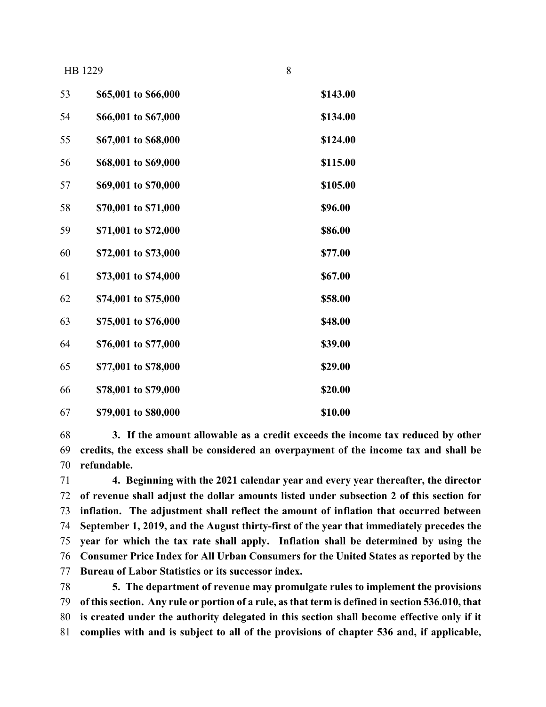| 53 | \$65,001 to \$66,000 | \$143.00 |
|----|----------------------|----------|
| 54 | \$66,001 to \$67,000 | \$134.00 |
| 55 | \$67,001 to \$68,000 | \$124.00 |
| 56 | \$68,001 to \$69,000 | \$115.00 |
| 57 | \$69,001 to \$70,000 | \$105.00 |
| 58 | \$70,001 to \$71,000 | \$96.00  |
| 59 | \$71,001 to \$72,000 | \$86.00  |
| 60 | \$72,001 to \$73,000 | \$77.00  |
| 61 | \$73,001 to \$74,000 | \$67.00  |
| 62 | \$74,001 to \$75,000 | \$58.00  |
| 63 | \$75,001 to \$76,000 | \$48.00  |
| 64 | \$76,001 to \$77,000 | \$39.00  |
| 65 | \$77,001 to \$78,000 | \$29.00  |
| 66 | \$78,001 to \$79,000 | \$20.00  |
| 67 | \$79,001 to \$80,000 | \$10.00  |

 **3. If the amount allowable as a credit exceeds the income tax reduced by other credits, the excess shall be considered an overpayment of the income tax and shall be refundable.**

 **4. Beginning with the 2021 calendar year and every year thereafter, the director of revenue shall adjust the dollar amounts listed under subsection 2 of this section for inflation. The adjustment shall reflect the amount of inflation that occurred between September 1, 2019, and the August thirty-first of the year that immediately precedes the year for which the tax rate shall apply. Inflation shall be determined by using the Consumer Price Index for All Urban Consumers for the United States as reported by the Bureau of Labor Statistics or its successor index.**

 **5. The department of revenue may promulgate rules to implement the provisions of this section. Any rule or portion of a rule, as that term is defined in section 536.010, that is created under the authority delegated in this section shall become effective only if it complies with and is subject to all of the provisions of chapter 536 and, if applicable,**